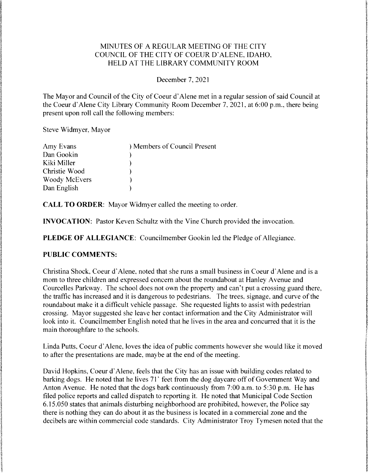# MINUTES OF A REGULAR MEETING OF THE CITY COUNCIL OF THE CITY OF COEUR D'ALENE, IDAHO. HELD AT THE LIBRARY COMMUNITY ROOM

#### December 7, 2021

The Mayor and Council of the City of Coeur d'Alene met in a regular session of said Council at the Coeur d'Alene City Library Community Room December 7, 2021, at 6:00 p.m., there being present upon roll call the following members:

Steve Widmyer, Mayor

| Amy Evans            | ) Members of Council Present |
|----------------------|------------------------------|
| Dan Gookin           |                              |
| Kiki Miller          |                              |
| Christie Wood        |                              |
| <b>Woody McEvers</b> |                              |
| Dan English          |                              |

CALL TO ORDER: Mayor Widmyer called the meeting to order.

**INVOCATION:** Pastor Keven Schultz with the Vine Church provided the invocation.

PLEDGE OF ALLEGIANCE: Councilmember Gookin led the Pledge of Allegiance.

## PUBLIC COMMENTS:

Christina Shock, Coeur d'Alene, noted that she runs a small business in Coeur d'Alene and is a mom to three children and expressed concern about the roundabout at Hanley Avenue and Courcelles Parkway. The school does not own the property and can't put a crossing guard there, the traffic has increased and it is dangerous to pedestrians. The trees, signage, and curve of the roundabout make it a difficult vehicle passage. She requested lights to assist with pedestrian crossing. Mayor suggested she leave her contact information and the City Administrator will look into it. Councilmember English noted that he lives in the area and concurred that it is the main thoroughfare to the schools.

Linda Putts, Coeur d'Alene, loves the idea of public comments however she would like it moved to after the presentations are made, maybe at the end of the meeting.

David Hopkins, Coeur d'Alene, feels that the City has an issue with building codes related to barking dogs. He noted that he lives 71' feet from the dog daycare off of Government Way and Anton Avenue. He noted that the dogs bark continuously from 7:00 a.m. to 5:30 p.m. He has filed police reports and called dispatch to reporting it. He noted that Municipal Code Section  $6.15.050$  states that animals disturbing neighborhood are prohibited, however, the Police say there is nothing they can do about it as the business is located in a commercial zone and the decibels are within commercial code standards. City Administrator Troy Tymesen noted that the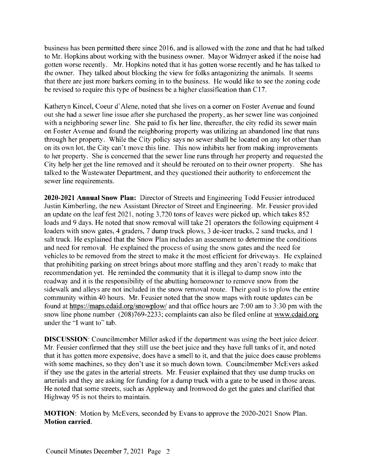business has been permitted there since 2016, and is allowed with the zone and that he had talked to Mr. Hopkins about working with the business owner. Mayor Widmyer asked if the noise had gotten worse recently. Mr. Hopkins noted that it has gotten worse recently and he has talked to the owner. They talked about blocking the view for folks antagonizing the animals. It seems that there are just more barkers coming in to the business. He would like to see the zoning code be revised to require this type of business be a higher classification than C17.

Katheryn Kincel, Coeur d'Alene, noted that she lives on a corner on Foster Avenue and found out she had a sewer line issue after she purchased the property, as her sewer line was conjoined with a neighboring sewer line. She paid to fix her line, thereafter, the city redid its sewer main on Foster Avenue and found the neighboring property was utilizing an abandoned line that runs through her property. While the City policy says no sewer shall be located on any lot other than on its own lot, the City can't move this line. This now inhibits her from making improvements to her property. She is concerned that the sewer line runs through her property and requested the City help her get the line removed and it should be rerouted on to their owner property. She has talked to the Wastewater Department, and they questioned their authority to enforcement the sewer line requirements.

2020-2021 Annual Snow Plan: Director of Streets and Engineering Todd Feusier introduced Justin Kimberling, the new Assistant Director of Street and Engineering. Mr. Feusier provided an update on the leaf fest 2021, noting 3,720 tons of leaves were picked up, which takes 852 loads and 9 days. He noted that snow removal will take 21 operators the following equipment 4 loaders with snow gates, 4 graders, 7 dump truck plows, 3 de-icer trucks, 2 sand trucks, and 1 salt truck. He explained that the Snow Plan includes an assessment to determine the conditions and need for removal. He explained the process of using the snow gates and the need for vehicles to be removed from the street to make it the most efficient for driveways. He explained that prohibiting parking on street brings about more staffing and they aren't ready to make that recommendation yet. He reminded the community that it is illegal to dump snow into the roadway and it is the responsibility of the abutting homeowner to remove snow from the sidewalk and alleys are not included in the snow removal route. Their goal is to plow the entire community within 40 hours. Mr. Feusier noted that the snow maps with route updates can be found at https://maps.cdaid.org/snowplow/ and that office hours are 7:00 am to 3:30 pm with the snow line phone number  $(208)769-2233$ ; complaints can also be filed online at www.cdaid.org under the "I want to" tab.

**DISCUSSION:** Councilmember Miller asked if the department was using the beet juice deicer. Mr. Feusier confirmed that they still use the beet juice and they have full tanks of it, and noted that it has gotten more expensive, does have a smell to it, and that the juice does cause problems with some machines, so they don't use it so much down town. Councilmember McEvers asked if they use the gates in the arterial streets. Mr. Feusier explained that they use dump trucks on arterials and they are asking for funding for a dump truck with a gate to be used in those areas. He noted that some streets, such as Appleway and Ironwood do get the gates and clarified that Highway 95 is not theirs to maintain.

MOTION: Motion by McEvers, seconded by Evans to approve the 2020-2021 Snow Plan. Motion carried.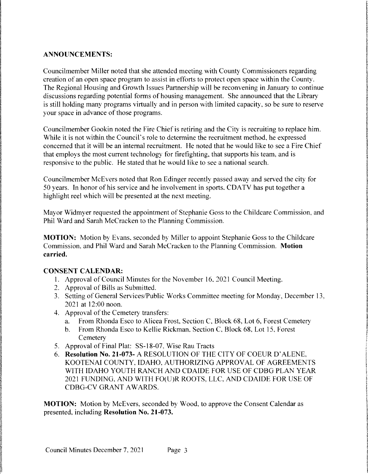## ANNOUNCEMENTS:

Councilmember Miller noted that she attended meeting with County Commissioners regarding creation of an open space program to assist in efforts to protect open space within the County. The Regional Housing and Growth Issues Partnership will be reconvening in January to continue discussions regarding potential forms of housing management. She announced that the Library is still holding many programs virtually and in person with limited capacity, so be sure to reserve your space in advance of those programs.

Councilmember Gookin noted the Fire Chief is retiring and the City is recruiting to replace him. While it is not within the Council's role to determine the recruitment method, he expressed concerned that it will be an internal recruitment. He noted that he would like to see a Fire Chief that employs the most current technology for firefighting, that supports his team, and is responsive to the public. He stated that he would like to see a national search.

Councilmember McEvers noted that Ron Edinger recently passed away and served the city for 50 years. In honor of his service and he involvement in sports. CDATV has put together a highlight reel which will be presented at the next meeting.

Mayor Widmyer requested the appointment of Stephanie Goss to the Childcare Commission, and Phil Ward and Sarah McCracken to the Planning Commission.

MOTION: Motion by Evans, seconded by Miller to appoint Stephanie Goss to the Childcare Commission, and Phil Ward and Sarah McCracken to the Planning Commission. Motion carried.

## CONSENT CALENDAR:

- 1. Approval of Council Minutes for the November 16, 2021 Council Meeting.
- 2. Approval of Bills as Submitted.
- 3. Setting of General Services/Public Works Committee meeting for Monday, December 13, 2021 at 12:00 noon.
- 4. Approval of the Cemetery transfers:
	- a. From Rhonda Esco to Alicea Frost, Section C, Block 68, Lot 6, Forest Cemetery<br>b. From Rhonda Esco to Kellie Rickman, Section C, Block 68, Lot 15, Forest
	- b. FromRhondaEscoto Kellie Rickman.SectionC, Block 68, Lot 15.Forest **Cemetery**
- 5. Approval of Final Plat: SS-18-07, Wise Rau Tracts
- 6. Resolution No. 21-073- A RESOLUTION OF THE CITY OF COEUR D'ALENE, KOOTENAI COUNTY, IDAHO, AUTHORIZING APPROVAL OF AGREEMENTS WITH IDAHO YOUTH RANCH AND CDAIDE FOR USE OF CDBG PLAN YEAR 2021 FUNDING, AND WITH FO(U)R ROOTS, LLC, AND CDAIDE FOR USE OF CDBG—CVGRANT AWARDS.

MOTION: Motion by McEvers, seconded by Wood, to approve the Consent Calendar as presented, including Resolution No. 21-073.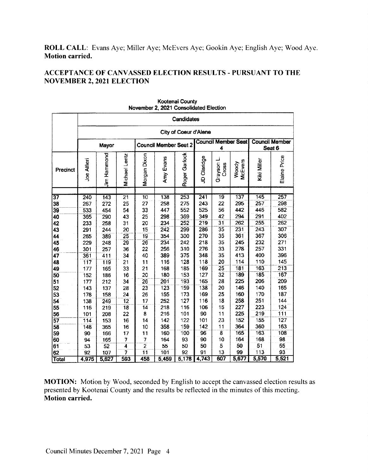ROLL CALL: Evans Aye; Miller Aye; McEvers Aye; Gookin Aye; English Aye; Wood Aye. **Motion carried.** 

# **ACCEPTANCE OF CANVASSED ELECTION RESULTS - PURSUANT TO THE NOVEMBER 2, 2021 ELECTION**

|              | <b>Candidates</b>     |             |                 |                              |                  |                                 |                  |                         |                                 |             |              |
|--------------|-----------------------|-------------|-----------------|------------------------------|------------------|---------------------------------|------------------|-------------------------|---------------------------------|-------------|--------------|
|              | City of Coeur d'Alene |             |                 |                              |                  |                                 |                  |                         |                                 |             |              |
|              | Mayor                 |             |                 | <b>Council Member Seat 2</b> |                  | <b>Council Member Seat</b><br>4 |                  |                         | <b>Council Member</b><br>Seat 6 |             |              |
| Precinct     | Joe Alfieri           | Jim Hammond | Michael Lentz   | Morgan Dixon                 | Amy Evans        | Roger Garlock                   | JD Claridge      | Grayson I<br>Cross      | McEvers<br>Woody                | Kiki Miller | Elaine Price |
|              | 240                   |             | $\overline{21}$ | $\overline{10}$              | 138              | 253                             | $\overline{241}$ | 19                      | 137                             | 145         | 257          |
| 37<br>38     | 267                   | 143<br>272  | 25              | 27                           | 258              | 275                             | 243              | 22                      | 295                             | 257         | 298          |
| 39           | 533                   | 454         | 54              | 33                           | 447              | 552                             | 525              | 56                      | 442                             | 446         | 582          |
| 40           | 365                   | 290         | 43              | 25                           | 298              | 369                             | 349              | 42                      | 294                             | 291         | 402          |
| 42           | 233                   | 258         | 31              | 20                           | 234              | 252                             | 219              | $\overline{31}$         | 262                             | 255         | 262          |
| 43           | 291                   | 244         | 20              | 15                           | 242              | 299                             | 286              | 35                      | 231                             | 243         | 307          |
| 44           | 265                   | 389         | 25              | 19                           | 354              | 300                             | 270              | 35                      | 361                             | 367         | 306          |
| 45           | 229                   | 248         | 29              | 26                           | 234              | 242                             | 218              | 35                      | 245                             | 232         | 271          |
| 46           | 301                   | 257         | 36              | 22                           | 256              | 310                             | 276              | 33                      | 278                             | 257         | 331          |
| 47           | 361                   | 411         | 34              | 40                           | 389              | 375                             | 348              | 35                      | 413                             | 400         | 396          |
| 48           | 117                   | 119         | 21              | 11                           | 116              | 128                             | 118              | 20                      | 114                             | 110         | 145          |
| 49           | 177                   | 165         | 33              | 21                           | 168              | 185                             | 169              | 25                      | $\overline{181}$                | 163         | 213          |
| 50           | 152                   | 186         | 16              | 20                           | 180              | 153                             | 127              | $\overline{32}$         | 189                             | 185         | 167          |
| 51           | 177                   | 212         | 34              | 26                           | $\overline{201}$ | 193                             | 165              | 28                      | 225                             | 206         | 209          |
| 52           | 143                   | 137         | 28              | 23                           | 123              | 159                             | 138              | 20                      | 146                             | 140         | 165          |
| 53           | 178                   | 158         | 24              | 26                           | 155              | 173                             | 169              | 25                      | 160                             | 170         | 187          |
| 54           | 138                   | 249         | $\overline{12}$ | 17                           | 252              | 127                             | 116              | 18                      | 258                             | 251         | 144          |
| 55           | 116                   | 219         | $\overline{18}$ | 14                           | 218              | 116                             | 106              | 15                      | 227                             | 223         | 124          |
| 56           | 101                   | 208         | 22              | 8                            | 216              | 101                             | 90               | 11                      | 225                             | 219         | 111          |
| 57           | 114                   | 153         | 16              | 14                           | 142              | 122                             | 101              | 23                      | 152                             | 155         | 127          |
| 58           | 148                   | 365         | 16              | 10                           | 358              | 159                             | 142              | 11                      | 364                             | 360         | 163          |
| 59           | 90                    | 166         | 17              | 11                           | 160              | 100                             | 96               | $\overline{\mathbf{g}}$ | 165                             | 163         | 108          |
| 60           | 94                    | 165         | Ż               | Ź                            | 164              | 93                              | 90               | 10                      | 164                             | 168         | 98           |
| 61           | 53                    | 52          | $\overline{4}$  | $\overline{2}$               | 55               | 50                              | 50               | 5                       | 50                              | 51          | 55           |
| 62           | 92                    | 107         | 7               | $\overline{11}$              | 101              | 92                              | 91               | 13                      | 99                              | 113         | 93           |
| <b>Total</b> | 4,975                 | 5,627       | 593             | 458                          | 5,459            | 5,178                           | 4,743            | 607                     | 5,677                           | 5,570       | 5,521        |

Kootenai County November 2, 2021 Consolidated Election

MOTION: Motion by Wood, seconded by English to accept the canvassed election results as presented by Kootenai County and the results be reflected in the minutes of this meeting. **Motion carried.**